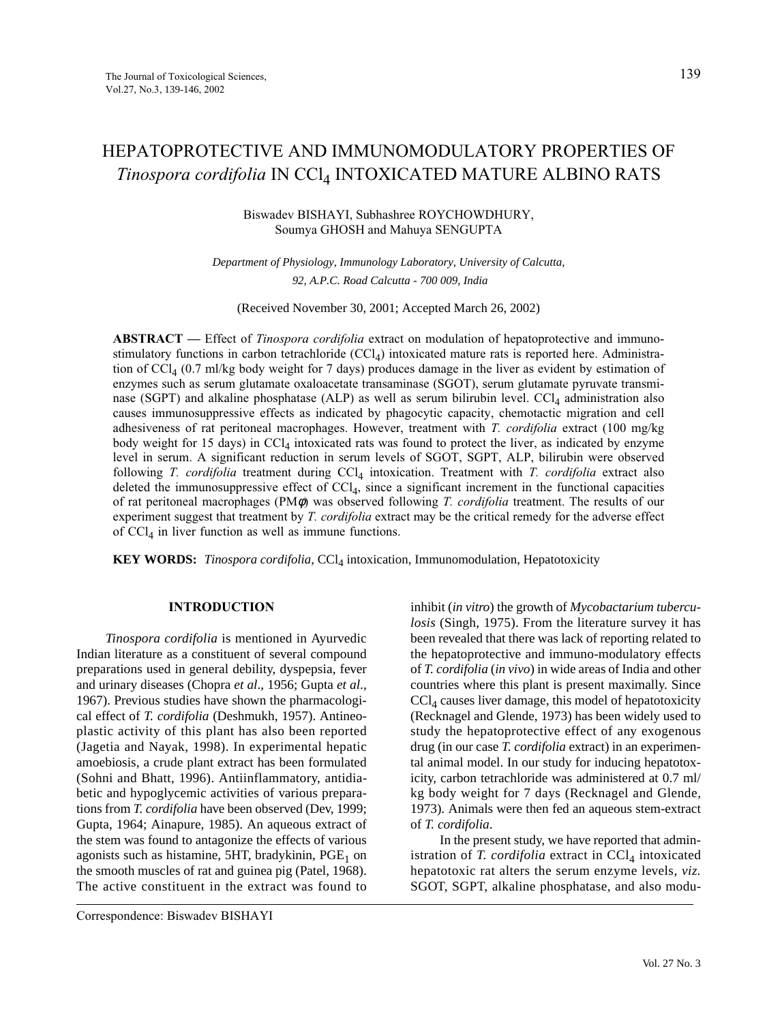# HEPATOPROTECTIVE AND IMMUNOMODULATORY PROPERTIES OF *Tinospora cordifolia* IN CCl4 INTOXICATED MATURE ALBINO RATS

# Biswadev BISHAYI, Subhashree ROYCHOWDHURY, Soumya GHOSH and Mahuya SENGUPTA

*Department of Physiology, Immunology Laboratory, University of Calcutta, 92, A.P.C. Road Calcutta - 700 009, India*

(Received November 30, 2001; Accepted March 26, 2002)

**ABSTRACT —** Effect of *Tinospora cordifolia* extract on modulation of hepatoprotective and immunostimulatory functions in carbon tetrachloride  $(CCl<sub>4</sub>)$  intoxicated mature rats is reported here. Administration of CCl4 (0.7 ml/kg body weight for 7 days) produces damage in the liver as evident by estimation of enzymes such as serum glutamate oxaloacetate transaminase (SGOT), serum glutamate pyruvate transminase (SGPT) and alkaline phosphatase (ALP) as well as serum bilirubin level. CCl<sub>4</sub> administration also causes immunosuppressive effects as indicated by phagocytic capacity, chemotactic migration and cell adhesiveness of rat peritoneal macrophages. However, treatment with *T. cordifolia* extract (100 mg/kg body weight for 15 days) in  $\text{CCl}_4$  intoxicated rats was found to protect the liver, as indicated by enzyme level in serum. A significant reduction in serum levels of SGOT, SGPT, ALP, bilirubin were observed following *T. cordifolia* treatment during CCl<sub>4</sub> intoxication. Treatment with *T. cordifolia* extract also deleted the immunosuppressive effect of  $\text{CCl}_4$ , since a significant increment in the functional capacities of rat peritoneal macrophages (PMφ) was observed following *T. cordifolia* treatment. The results of our experiment suggest that treatment by *T. cordifolia* extract may be the critical remedy for the adverse effect of  $\text{CCl}_4$  in liver function as well as immune functions.

**KEY WORDS:** *Tinospora cordifolia*, CCl<sub>4</sub> intoxication, Immunomodulation, Hepatotoxicity

### **INTRODUCTION**

*Tinospora cordifolia* is mentioned in Ayurvedic Indian literature as a constituent of several compound preparations used in general debility, dyspepsia, fever and urinary diseases (Chopra *et al*., 1956; Gupta *et al*., 1967). Previous studies have shown the pharmacological effect of *T. cordifolia* (Deshmukh, 1957). Antineoplastic activity of this plant has also been reported (Jagetia and Nayak, 1998). In experimental hepatic amoebiosis, a crude plant extract has been formulated (Sohni and Bhatt, 1996). Antiinflammatory, antidiabetic and hypoglycemic activities of various preparations from *T. cordifolia* have been observed (Dev, 1999; Gupta, 1964; Ainapure, 1985). An aqueous extract of the stem was found to antagonize the effects of various agonists such as histamine, 5HT, bradykinin,  $PGE<sub>1</sub>$  on the smooth muscles of rat and guinea pig (Patel, 1968). The active constituent in the extract was found to inhibit (*in vitro*) the growth of *Mycobactarium tuberculosis* (Singh, 1975). From the literature survey it has been revealed that there was lack of reporting related to the hepatoprotective and immuno-modulatory effects of *T. cordifolia* (*in vivo*) in wide areas of India and other countries where this plant is present maximally. Since  $CCl<sub>4</sub>$  causes liver damage, this model of hepatotoxicity (Recknagel and Glende, 1973) has been widely used to study the hepatoprotective effect of any exogenous drug (in our case *T. cordifolia* extract) in an experimental animal model. In our study for inducing hepatotoxicity, carbon tetrachloride was administered at 0.7 ml/ kg body weight for 7 days (Recknagel and Glende, 1973). Animals were then fed an aqueous stem-extract of *T. cordifolia*.

In the present study, we have reported that administration of *T. cordifolia* extract in CCl<sub>4</sub> intoxicated hepatotoxic rat alters the serum enzyme levels, *viz.* SGOT, SGPT, alkaline phosphatase, and also modu-

Correspondence: Biswadev BISHAYI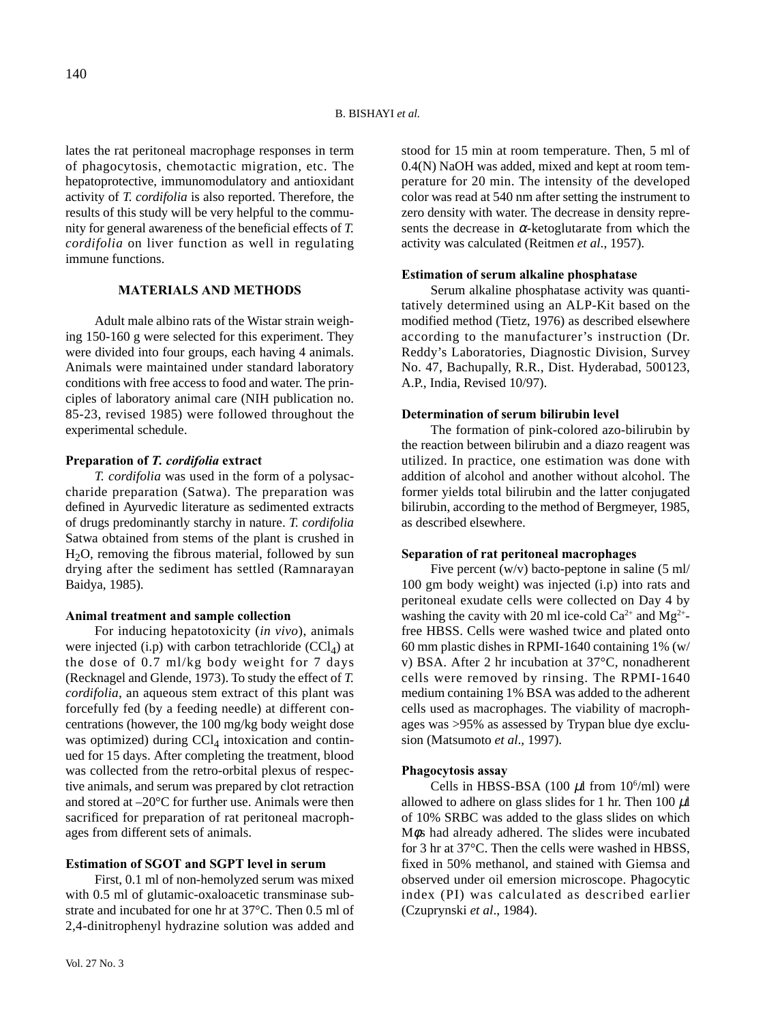lates the rat peritoneal macrophage responses in term of phagocytosis, chemotactic migration, etc. The hepatoprotective, immunomodulatory and antioxidant activity of *T. cordifolia* is also reported. Therefore, the results of this study will be very helpful to the community for general awareness of the beneficial effects of *T. cordifolia* on liver function as well in regulating immune functions.

# **MATERIALS AND METHODS**

Adult male albino rats of the Wistar strain weighing 150-160 g were selected for this experiment. They were divided into four groups, each having 4 animals. Animals were maintained under standard laboratory conditions with free access to food and water. The principles of laboratory animal care (NIH publication no. 85-23, revised 1985) were followed throughout the experimental schedule.

# **Preparation of** *T. cordifolia* **extract**

*T. cordifolia* was used in the form of a polysaccharide preparation (Satwa). The preparation was defined in Ayurvedic literature as sedimented extracts of drugs predominantly starchy in nature. *T. cordifolia* Satwa obtained from stems of the plant is crushed in  $H<sub>2</sub>O$ , removing the fibrous material, followed by sun drying after the sediment has settled (Ramnarayan Baidya, 1985).

### **Animal treatment and sample collection**

For inducing hepatotoxicity (*in vivo*), animals were injected (i.p) with carbon tetrachloride  $(CCl<sub>4</sub>)$  at the dose of 0.7 ml/kg body weight for 7 days (Recknagel and Glende, 1973). To study the effect of *T. cordifolia*, an aqueous stem extract of this plant was forcefully fed (by a feeding needle) at different concentrations (however, the 100 mg/kg body weight dose was optimized) during  $CCl_4$  intoxication and continued for 15 days. After completing the treatment, blood was collected from the retro-orbital plexus of respective animals, and serum was prepared by clot retraction and stored at –20°C for further use. Animals were then sacrificed for preparation of rat peritoneal macrophages from different sets of animals.

### **Estimation of SGOT and SGPT level in serum**

First, 0.1 ml of non-hemolyzed serum was mixed with 0.5 ml of glutamic-oxaloacetic transminase substrate and incubated for one hr at 37°C. Then 0.5 ml of 2,4-dinitrophenyl hydrazine solution was added and

stood for 15 min at room temperature. Then, 5 ml of 0.4(N) NaOH was added, mixed and kept at room temperature for 20 min. The intensity of the developed color was read at 540 nm after setting the instrument to zero density with water. The decrease in density represents the decrease in  $\alpha$ -ketoglutarate from which the activity was calculated (Reitmen *et al*., 1957).

#### **Estimation of serum alkaline phosphatase**

Serum alkaline phosphatase activity was quantitatively determined using an ALP-Kit based on the modified method (Tietz, 1976) as described elsewhere according to the manufacturer's instruction (Dr. Reddy's Laboratories, Diagnostic Division, Survey No. 47, Bachupally, R.R., Dist. Hyderabad, 500123, A.P., India, Revised 10/97).

### **Determination of serum bilirubin level**

The formation of pink-colored azo-bilirubin by the reaction between bilirubin and a diazo reagent was utilized. In practice, one estimation was done with addition of alcohol and another without alcohol. The former yields total bilirubin and the latter conjugated bilirubin, according to the method of Bergmeyer, 1985, as described elsewhere.

#### **Separation of rat peritoneal macrophages**

Five percent  $(w/v)$  bacto-peptone in saline (5 ml/ 100 gm body weight) was injected (i.p) into rats and peritoneal exudate cells were collected on Day 4 by washing the cavity with 20 ml ice-cold  $Ca^{2+}$  and  $Mg^{2+}$ free HBSS. Cells were washed twice and plated onto 60 mm plastic dishes in RPMI-1640 containing 1% (w/ v) BSA. After 2 hr incubation at 37°C, nonadherent cells were removed by rinsing. The RPMI-1640 medium containing 1% BSA was added to the adherent cells used as macrophages. The viability of macrophages was >95% as assessed by Trypan blue dye exclusion (Matsumoto *et al*., 1997).

### **Phagocytosis assay**

Cells in HBSS-BSA (100  $\mu$ l from 10<sup>6</sup>/ml) were allowed to adhere on glass slides for 1 hr. Then 100  $\mu$ l of 10% SRBC was added to the glass slides on which Mφs had already adhered. The slides were incubated for 3 hr at 37°C. Then the cells were washed in HBSS, fixed in 50% methanol, and stained with Giemsa and observed under oil emersion microscope. Phagocytic index (PI) was calculated as described earlier (Czuprynski *et al*., 1984).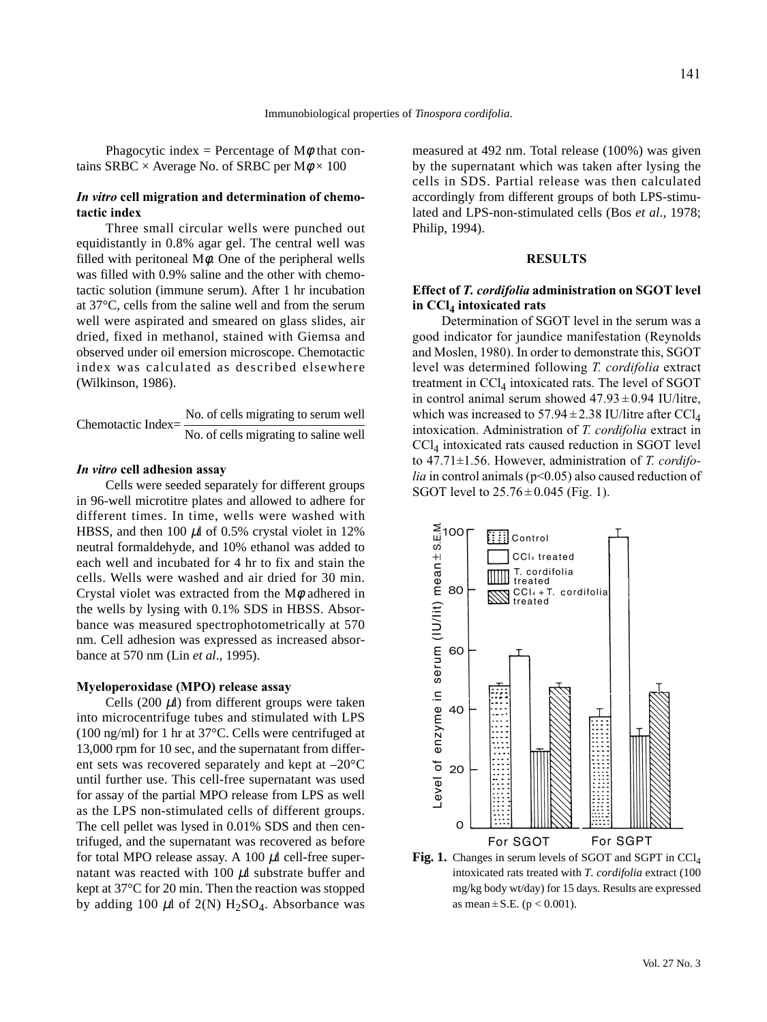Phagocytic index = Percentage of  $M\phi$  that contains SRBC  $\times$  Average No. of SRBC per M $\phi \times 100$ 

# *In vitro* **cell migration and determination of chemotactic index**

Three small circular wells were punched out equidistantly in 0.8% agar gel. The central well was filled with peritoneal  $M\phi$ . One of the peripheral wells was filled with 0.9% saline and the other with chemotactic solution (immune serum). After 1 hr incubation at 37°C, cells from the saline well and from the serum well were aspirated and smeared on glass slides, air dried, fixed in methanol, stained with Giemsa and observed under oil emersion microscope. Chemotactic index was calculated as described elsewhere (Wilkinson, 1986).

No. of cells migrating to serum well Chemotactic Index= ––––––––––––––––––––––––––– No. of cells migrating to saline well

### *In vitro* **cell adhesion assay**

Cells were seeded separately for different groups in 96-well microtitre plates and allowed to adhere for different times. In time, wells were washed with HBSS, and then 100  $\mu$ l of 0.5% crystal violet in 12% neutral formaldehyde, and 10% ethanol was added to each well and incubated for 4 hr to fix and stain the cells. Wells were washed and air dried for 30 min. Crystal violet was extracted from the  $M\phi$  adhered in the wells by lysing with 0.1% SDS in HBSS. Absorbance was measured spectrophotometrically at 570 nm. Cell adhesion was expressed as increased absorbance at 570 nm (Lin *et al*., 1995).

#### **Myeloperoxidase (MPO) release assay**

Cells (200  $\mu$ l) from different groups were taken into microcentrifuge tubes and stimulated with LPS (100 ng/ml) for 1 hr at 37°C. Cells were centrifuged at 13,000 rpm for 10 sec, and the supernatant from different sets was recovered separately and kept at –20°C until further use. This cell-free supernatant was used for assay of the partial MPO release from LPS as well as the LPS non-stimulated cells of different groups. The cell pellet was lysed in 0.01% SDS and then centrifuged, and the supernatant was recovered as before for total MPO release assay. A 100  $\mu$ l cell-free supernatant was reacted with 100  $\mu$ l substrate buffer and kept at 37°C for 20 min. Then the reaction was stopped by adding 100  $\mu$ l of 2(N) H<sub>2</sub>SO<sub>4</sub>. Absorbance was

measured at 492 nm. Total release (100%) was given by the supernatant which was taken after lysing the cells in SDS. Partial release was then calculated accordingly from different groups of both LPS-stimulated and LPS-non-stimulated cells (Bos *et al*., 1978; Philip, 1994).

### **RESULTS**

### **Effect of** *T. cordifolia* **administration on SGOT level in CCl4 intoxicated rats**

Determination of SGOT level in the serum was a good indicator for jaundice manifestation (Reynolds and Moslen, 1980). In order to demonstrate this, SGOT level was determined following *T. cordifolia* extract treatment in  $CCI<sub>4</sub>$  intoxicated rats. The level of SGOT in control animal serum showed  $47.93 \pm 0.94$  IU/litre, which was increased to  $57.94 \pm 2.38$  IU/litre after CCl<sub>4</sub> intoxication. Administration of *T. cordifolia* extract in  $CCl<sub>4</sub>$  intoxicated rats caused reduction in SGOT level to 47.71±1.56. However, administration of *T. cordifolia* in control animals (p<0.05) also caused reduction of SGOT level to  $25.76 \pm 0.045$  (Fig. 1).



**Fig. 1.** Changes in serum levels of SGOT and SGPT in CCl<sub>4</sub> intoxicated rats treated with *T. cordifolia* extract (100 mg/kg body wt/day) for 15 days. Results are expressed as mean  $\pm$  S.E. (p < 0.001).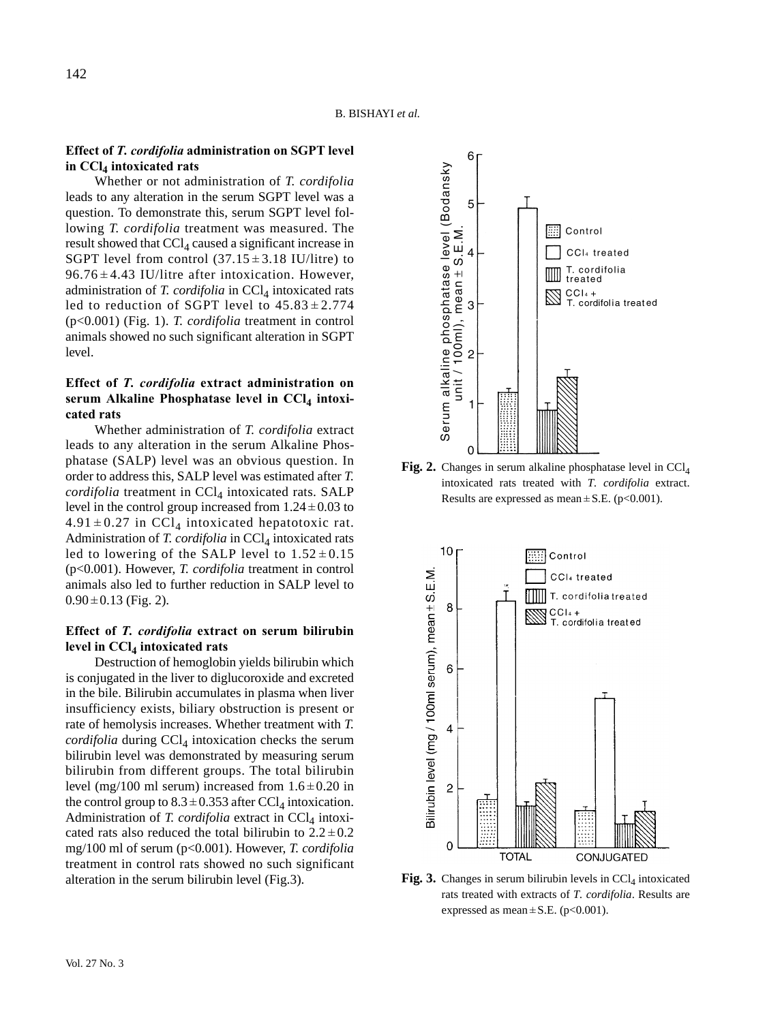### **Effect of** *T. cordifolia* **administration on SGPT level in CCl4 intoxicated rats**

Whether or not administration of *T. cordifolia* leads to any alteration in the serum SGPT level was a question. To demonstrate this, serum SGPT level following *T. cordifolia* treatment was measured. The result showed that  $CCl<sub>4</sub>$  caused a significant increase in SGPT level from control  $(37.15 \pm 3.18 \text{ IU/litre})$  to  $96.76 \pm 4.43$  IU/litre after intoxication. However, administration of *T. cordifolia* in CCl<sub>4</sub> intoxicated rats led to reduction of SGPT level to  $45.83 \pm 2.774$ (p<0.001) (Fig. 1). *T. cordifolia* treatment in control animals showed no such significant alteration in SGPT level.

# **Effect of** *T. cordifolia* **extract administration on** serum Alkaline Phosphatase level in CCl<sub>4</sub> intoxi**cated rats**

Whether administration of *T. cordifolia* extract leads to any alteration in the serum Alkaline Phosphatase (SALP) level was an obvious question. In order to address this, SALP level was estimated after *T. cordifolia* treatment in CCl<sub>4</sub> intoxicated rats. SALP level in the control group increased from  $1.24 \pm 0.03$  to  $4.91 \pm 0.27$  in CCl<sub>4</sub> intoxicated hepatotoxic rat. Administration of *T. cordifolia* in CCl<sub>4</sub> intoxicated rats led to lowering of the SALP level to  $1.52 \pm 0.15$ (p<0.001). However, *T. cordifolia* treatment in control animals also led to further reduction in SALP level to  $0.90 \pm 0.13$  (Fig. 2).

# **Effect of** *T. cordifolia* **extract on serum bilirubin** level in CCl<sub>4</sub> intoxicated rats

Destruction of hemoglobin yields bilirubin which is conjugated in the liver to diglucoroxide and excreted in the bile. Bilirubin accumulates in plasma when liver insufficiency exists, biliary obstruction is present or rate of hemolysis increases. Whether treatment with *T. cordifolia* during  $CCl_4$  intoxication checks the serum bilirubin level was demonstrated by measuring serum bilirubin from different groups. The total bilirubin level (mg/100 ml serum) increased from  $1.6 \pm 0.20$  in the control group to  $8.3 \pm 0.353$  after CCl<sub>4</sub> intoxication. Administration of *T. cordifolia* extract in  $CCl<sub>4</sub>$  intoxicated rats also reduced the total bilirubin to  $2.2 \pm 0.2$ mg/100 ml of serum (p<0.001). However, *T. cordifolia* treatment in control rats showed no such significant alteration in the serum bilirubin level (Fig.3).



**Fig. 2.** Changes in serum alkaline phosphatase level in CCl<sub>4</sub> intoxicated rats treated with *T. cordifolia* extract. Results are expressed as mean  $\pm$  S.E. (p<0.001).



**Fig. 3.** Changes in serum bilirubin levels in  $\text{CCl}_4$  intoxicated rats treated with extracts of *T. cordifolia*. Results are expressed as mean  $\pm$  S.E. (p<0.001).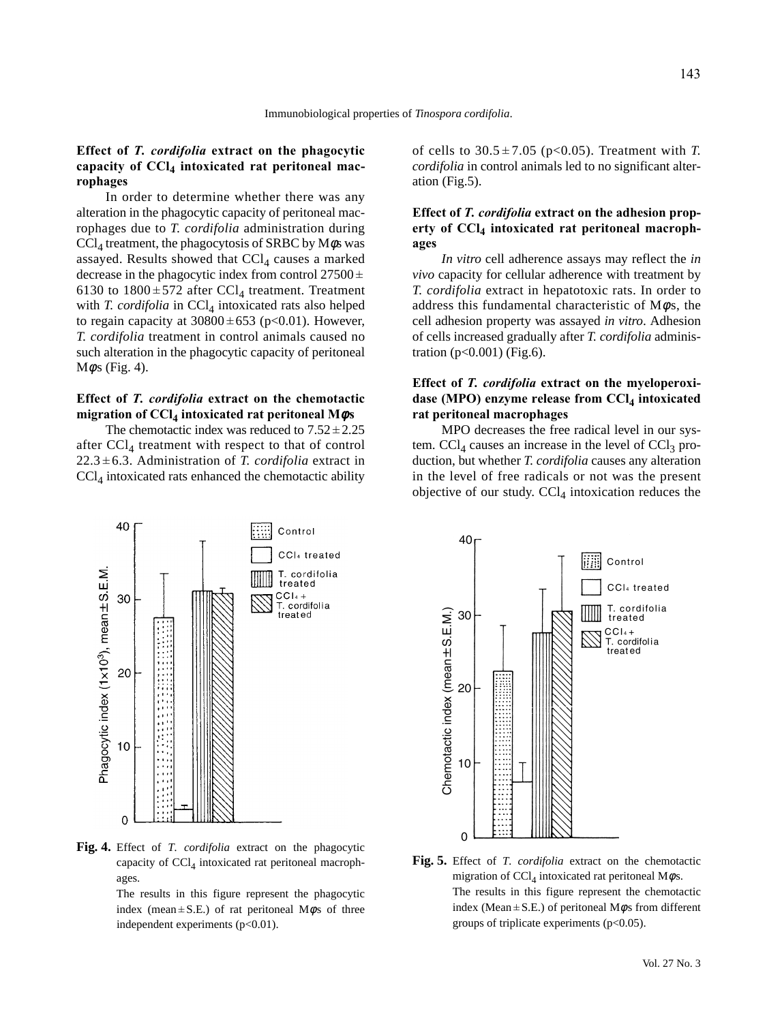# **Effect of** *T. cordifolia* **extract on the phagocytic** capacity of CCl<sub>4</sub> intoxicated rat peritoneal mac**rophages**

In order to determine whether there was any alteration in the phagocytic capacity of peritoneal macrophages due to *T. cordifolia* administration during  $\text{CCl}_4$  treatment, the phagocytosis of SRBC by M $\phi$ s was assayed. Results showed that  $CCl<sub>4</sub>$  causes a marked decrease in the phagocytic index from control  $27500 \pm$ 6130 to  $1800 \pm 572$  after CCl<sub>4</sub> treatment. Treatment with *T. cordifolia* in CCl<sub>4</sub> intoxicated rats also helped to regain capacity at  $30800 \pm 653$  (p<0.01). However, *T. cordifolia* treatment in control animals caused no such alteration in the phagocytic capacity of peritoneal  $M\phi s$  (Fig. 4).

# **Effect of** *T. cordifolia* **extract on the chemotactic migration of CCl4 intoxicated rat peritoneal M**φ**s**

The chemotactic index was reduced to  $7.52 \pm 2.25$ after  $CCl<sub>4</sub>$  treatment with respect to that of control  $22.3 \pm 6.3$ . Administration of *T. cordifolia* extract in  $\text{CCl}_4$  intoxicated rats enhanced the chemotactic ability of cells to  $30.5 \pm 7.05$  (p<0.05). Treatment with *T*. *cordifolia* in control animals led to no significant alteration (Fig.5).

# **Effect of** *T. cordifolia* **extract on the adhesion prop**erty of CCl<sub>4</sub> intoxicated rat peritoneal macroph**ages**

*In vitro* cell adherence assays may reflect the *in vivo* capacity for cellular adherence with treatment by *T. cordifolia* extract in hepatotoxic rats. In order to address this fundamental characteristic of  $M\phi s$ , the cell adhesion property was assayed *in vitro*. Adhesion of cells increased gradually after *T. cordifolia* administration  $(p<0.001)$  (Fig.6).

# **Effect of** *T. cordifolia* **extract on the myeloperoxi**dase (MPO) enzyme release from CCl<sub>4</sub> intoxicated **rat peritoneal macrophages**

MPO decreases the free radical level in our system.  $CCl<sub>4</sub>$  causes an increase in the level of  $CCl<sub>3</sub>$  production, but whether *T. cordifolia* causes any alteration in the level of free radicals or not was the present objective of our study.  $CCl<sub>4</sub>$  intoxication reduces the



**Fig. 4.** Effect of *T. cordifolia* extract on the phagocytic capacity of  $CCl<sub>4</sub>$  intoxicated rat peritoneal macrophages.

The results in this figure represent the phagocytic index (mean  $\pm$  S.E.) of rat peritoneal M $\phi$ s of three independent experiments  $(p<0.01)$ .



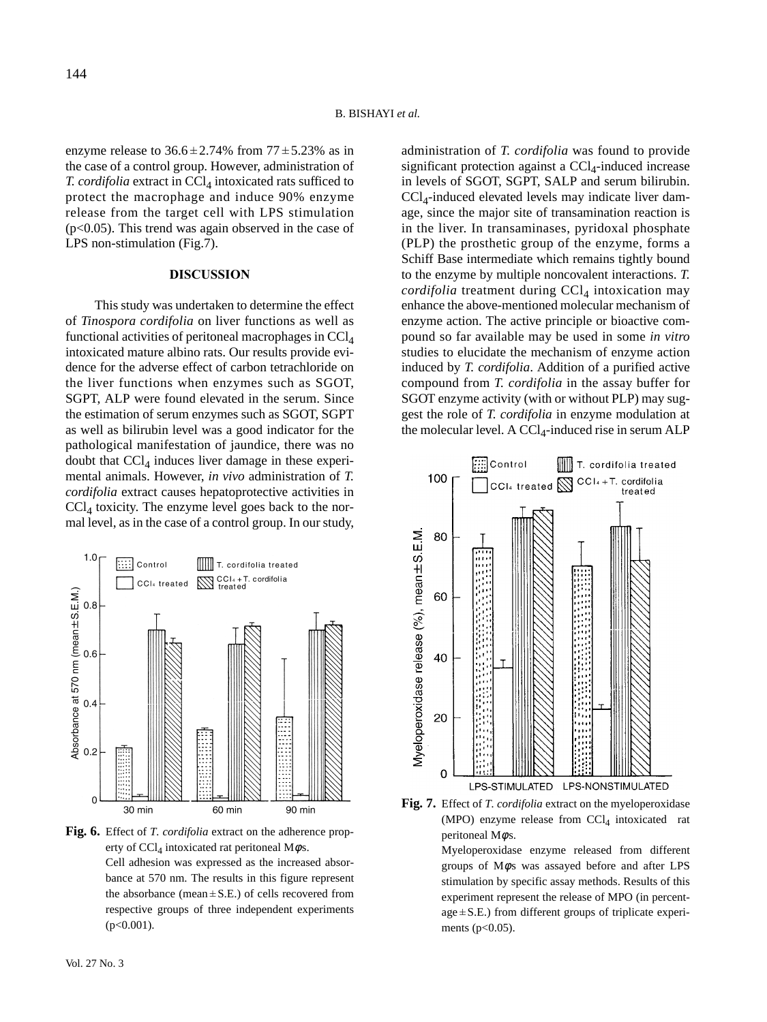enzyme release to  $36.6 \pm 2.74\%$  from  $77 \pm 5.23\%$  as in the case of a control group. However, administration of *T. cordifolia* extract in CCl<sub>4</sub> intoxicated rats sufficed to protect the macrophage and induce 90% enzyme release from the target cell with LPS stimulation  $(p<0.05)$ . This trend was again observed in the case of LPS non-stimulation (Fig.7).

### **DISCUSSION**

This study was undertaken to determine the effect of *Tinospora cordifolia* on liver functions as well as functional activities of peritoneal macrophages in  $CCl<sub>4</sub>$ intoxicated mature albino rats. Our results provide evidence for the adverse effect of carbon tetrachloride on the liver functions when enzymes such as SGOT, SGPT, ALP were found elevated in the serum. Since the estimation of serum enzymes such as SGOT, SGPT as well as bilirubin level was a good indicator for the pathological manifestation of jaundice, there was no doubt that  $\text{CCl}_4$  induces liver damage in these experimental animals. However, *in vivo* administration of *T. cordifolia* extract causes hepatoprotective activities in  $\text{CCl}_4$  toxicity. The enzyme level goes back to the normal level, as in the case of a control group. In our study,



**Fig. 6.** Effect of *T. cordifolia* extract on the adherence property of CCl<sub>4</sub> intoxicated rat peritoneal M $\phi$ s. Cell adhesion was expressed as the increased absorbance at 570 nm. The results in this figure represent the absorbance (mean  $\pm$  S.E.) of cells recovered from respective groups of three independent experiments  $(p<0.001)$ .

administration of *T. cordifolia* was found to provide significant protection against a  $CCl<sub>4</sub>$ -induced increase in levels of SGOT, SGPT, SALP and serum bilirubin.  $CCl<sub>4</sub>$ -induced elevated levels may indicate liver damage, since the major site of transamination reaction is in the liver. In transaminases, pyridoxal phosphate (PLP) the prosthetic group of the enzyme, forms a Schiff Base intermediate which remains tightly bound to the enzyme by multiple noncovalent interactions. *T.*  $cordi folia$  treatment during  $CCl<sub>4</sub>$  intoxication may enhance the above-mentioned molecular mechanism of enzyme action. The active principle or bioactive compound so far available may be used in some *in vitro* studies to elucidate the mechanism of enzyme action induced by *T. cordifolia*. Addition of a purified active compound from *T. cordifolia* in the assay buffer for SGOT enzyme activity (with or without PLP) may suggest the role of *T. cordifolia* in enzyme modulation at the molecular level. A  $CCl_4$ -induced rise in serum ALP



**Fig. 7.** Effect of *T. cordifolia* extract on the myeloperoxidase (MPO) enzyme release from  $CCl<sub>4</sub>$  intoxicated rat peritoneal M $\phi$ s.

Myeloperoxidase enzyme released from different groups of  $M\phi s$  was assayed before and after LPS stimulation by specific assay methods. Results of this experiment represent the release of MPO (in percent $age \pm S.E.$ ) from different groups of triplicate experiments (p<0.05).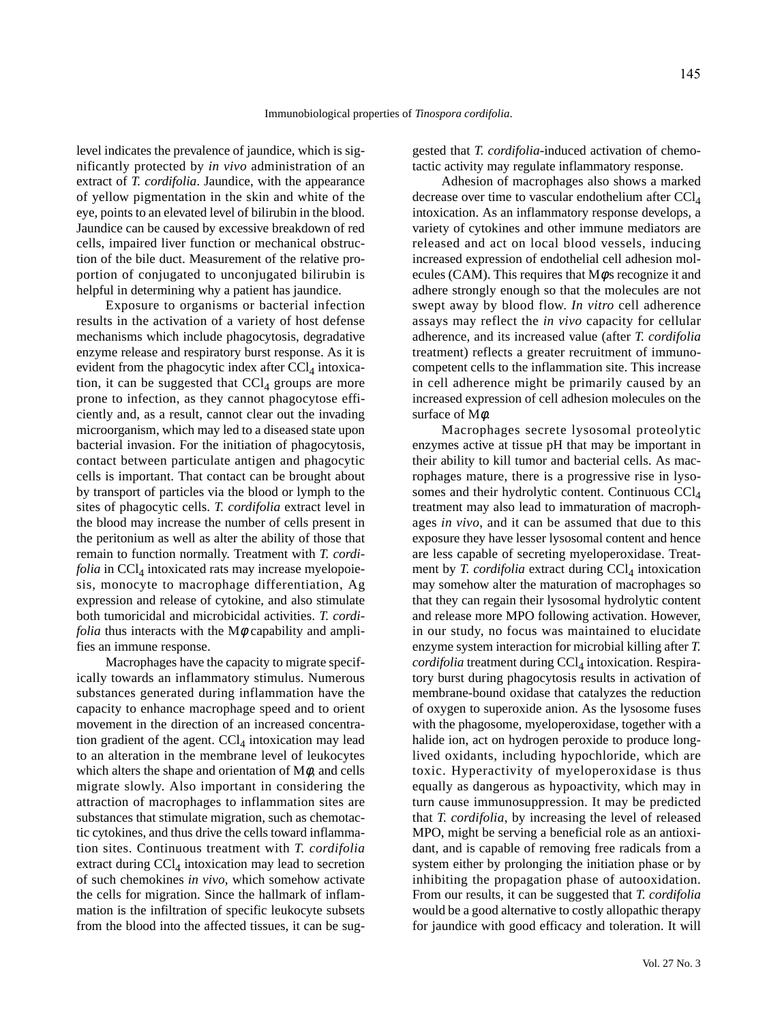level indicates the prevalence of jaundice, which is significantly protected by *in vivo* administration of an extract of *T. cordifolia*. Jaundice, with the appearance of yellow pigmentation in the skin and white of the eye, points to an elevated level of bilirubin in the blood. Jaundice can be caused by excessive breakdown of red cells, impaired liver function or mechanical obstruction of the bile duct. Measurement of the relative proportion of conjugated to unconjugated bilirubin is helpful in determining why a patient has jaundice.

Exposure to organisms or bacterial infection results in the activation of a variety of host defense mechanisms which include phagocytosis, degradative enzyme release and respiratory burst response. As it is evident from the phagocytic index after  $\text{CCl}_4$  intoxication, it can be suggested that  $CCl<sub>4</sub>$  groups are more prone to infection, as they cannot phagocytose efficiently and, as a result, cannot clear out the invading microorganism, which may led to a diseased state upon bacterial invasion. For the initiation of phagocytosis, contact between particulate antigen and phagocytic cells is important. That contact can be brought about by transport of particles via the blood or lymph to the sites of phagocytic cells. *T. cordifolia* extract level in the blood may increase the number of cells present in the peritonium as well as alter the ability of those that remain to function normally. Treatment with *T. cordi* $folia$  in  $CCl<sub>4</sub>$  intoxicated rats may increase myelopoiesis, monocyte to macrophage differentiation, Ag expression and release of cytokine, and also stimulate both tumoricidal and microbicidal activities. *T. cordifolia* thus interacts with the  $M\phi$  capability and amplifies an immune response.

Macrophages have the capacity to migrate specifically towards an inflammatory stimulus. Numerous substances generated during inflammation have the capacity to enhance macrophage speed and to orient movement in the direction of an increased concentration gradient of the agent.  $CCl<sub>4</sub>$  intoxication may lead to an alteration in the membrane level of leukocytes which alters the shape and orientation of  $M\phi$ , and cells migrate slowly. Also important in considering the attraction of macrophages to inflammation sites are substances that stimulate migration, such as chemotactic cytokines, and thus drive the cells toward inflammation sites. Continuous treatment with *T. cordifolia* extract during  $CCl_4$  intoxication may lead to secretion of such chemokines *in vivo*, which somehow activate the cells for migration. Since the hallmark of inflammation is the infiltration of specific leukocyte subsets from the blood into the affected tissues, it can be suggested that *T. cordifolia*-induced activation of chemotactic activity may regulate inflammatory response.

Adhesion of macrophages also shows a marked decrease over time to vascular endothelium after  $\text{CC}l_{4}$ intoxication. As an inflammatory response develops, a variety of cytokines and other immune mediators are released and act on local blood vessels, inducing increased expression of endothelial cell adhesion molecules (CAM). This requires that  $M\phi s$  recognize it and adhere strongly enough so that the molecules are not swept away by blood flow. *In vitro* cell adherence assays may reflect the *in vivo* capacity for cellular adherence, and its increased value (after *T. cordifolia* treatment) reflects a greater recruitment of immunocompetent cells to the inflammation site. This increase in cell adherence might be primarily caused by an increased expression of cell adhesion molecules on the surface of Mφ.

Macrophages secrete lysosomal proteolytic enzymes active at tissue pH that may be important in their ability to kill tumor and bacterial cells. As macrophages mature, there is a progressive rise in lysosomes and their hydrolytic content. Continuous CCl<sub>4</sub> treatment may also lead to immaturation of macrophages *in vivo*, and it can be assumed that due to this exposure they have lesser lysosomal content and hence are less capable of secreting myeloperoxidase. Treatment by *T. cordifolia* extract during CCl<sub>4</sub> intoxication may somehow alter the maturation of macrophages so that they can regain their lysosomal hydrolytic content and release more MPO following activation. However, in our study, no focus was maintained to elucidate enzyme system interaction for microbial killing after *T. cordifolia* treatment during CCl<sub>4</sub> intoxication. Respiratory burst during phagocytosis results in activation of membrane-bound oxidase that catalyzes the reduction of oxygen to superoxide anion. As the lysosome fuses with the phagosome, myeloperoxidase, together with a halide ion, act on hydrogen peroxide to produce longlived oxidants, including hypochloride, which are toxic. Hyperactivity of myeloperoxidase is thus equally as dangerous as hypoactivity, which may in turn cause immunosuppression. It may be predicted that *T. cordifolia*, by increasing the level of released MPO, might be serving a beneficial role as an antioxidant, and is capable of removing free radicals from a system either by prolonging the initiation phase or by inhibiting the propagation phase of autooxidation. From our results, it can be suggested that *T. cordifolia* would be a good alternative to costly allopathic therapy for jaundice with good efficacy and toleration. It will